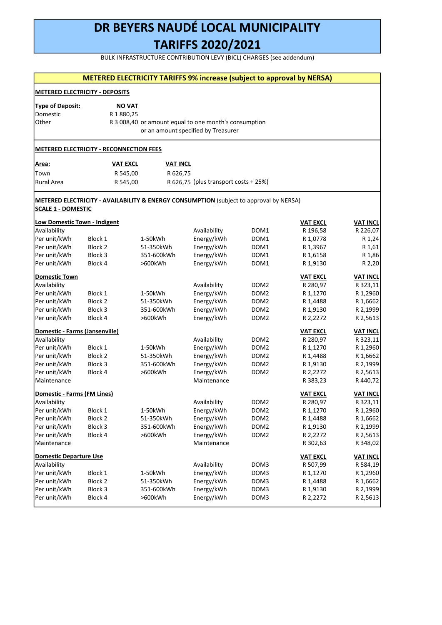BULK INFRASTRUCTURE CONTRIBUTION LEVY (BICL) CHARGES (see addendum)

|                                              |                                                                                        |                         | <b>METERED ELECTRICITY TARIFFS 9% increase (subject to approval by NERSA)</b>                |                  |                      |                      |
|----------------------------------------------|----------------------------------------------------------------------------------------|-------------------------|----------------------------------------------------------------------------------------------|------------------|----------------------|----------------------|
|                                              | <b>METERED ELECTRICITY - DEPOSITS</b>                                                  |                         |                                                                                              |                  |                      |                      |
| <b>Type of Deposit:</b><br>Domestic<br>Other | <b>NO VAT</b><br>R 1 880,25                                                            |                         | R 3 008,40 or amount equal to one month's consumption<br>or an amount specified by Treasurer |                  |                      |                      |
|                                              | <b>METERED ELECTRICITY - RECONNECTION FEES</b>                                         |                         |                                                                                              |                  |                      |                      |
| Area:                                        | <b>VAT EXCL</b>                                                                        | <b>VAT INCL</b>         |                                                                                              |                  |                      |                      |
| Town                                         | R 545,00                                                                               | R 626,75                |                                                                                              |                  |                      |                      |
| Rural Area                                   | R 545,00                                                                               |                         | R 626,75 (plus transport costs + 25%)                                                        |                  |                      |                      |
| <b>SCALE 1 - DOMESTIC</b>                    | METERED ELECTRICITY - AVAILABILITY & ENERGY CONSUMPTION (subject to approval by NERSA) |                         |                                                                                              |                  |                      |                      |
| Low Domestic Town - Indigent                 |                                                                                        |                         |                                                                                              |                  | <b>VAT EXCL</b>      | <b>VAT INCL</b>      |
| Availability                                 |                                                                                        |                         | Availability                                                                                 | DOM1             | R 196,58             | R 226,07             |
| Per unit/kWh                                 | Block 1                                                                                | 1-50kWh                 | Energy/kWh                                                                                   | DOM1             | R 1,0778             | R 1,24               |
| Per unit/kWh                                 | Block 2                                                                                | 51-350kWh               | Energy/kWh                                                                                   | DOM1             | R 1,3967             | R 1,61               |
| Per unit/kWh                                 | Block 3                                                                                | 351-600kWh              | Energy/kWh                                                                                   | DOM <sub>1</sub> | R 1,6158             | R 1,86               |
| Per unit/kWh                                 | Block 4                                                                                | >600kWh                 | Energy/kWh                                                                                   | DOM <sub>1</sub> | R 1,9130             | R 2,20               |
| <b>Domestic Town</b>                         |                                                                                        |                         |                                                                                              |                  | <b>VAT EXCL</b>      | <b>VAT INCL</b>      |
| Availability                                 |                                                                                        |                         | Availability                                                                                 | DOM <sub>2</sub> | R 280,97             | R 323,11             |
| Per unit/kWh                                 | Block 1                                                                                | 1-50kWh                 |                                                                                              | DOM <sub>2</sub> | R 1,1270             | R 1,2960             |
| Per unit/kWh                                 | Block 2                                                                                | 51-350kWh               | Energy/kWh<br>Energy/kWh                                                                     | DOM <sub>2</sub> | R 1,4488             | R 1,6662             |
| Per unit/kWh                                 | Block 3                                                                                | 351-600kWh              | Energy/kWh                                                                                   | DOM <sub>2</sub> | R 1,9130             | R 2,1999             |
| Per unit/kWh                                 | Block 4                                                                                | >600kWh                 | Energy/kWh                                                                                   | DOM <sub>2</sub> | R 2,2272             | R 2,5613             |
|                                              |                                                                                        |                         |                                                                                              |                  |                      |                      |
| Domestic - Farms (Jansenville)               |                                                                                        |                         |                                                                                              |                  | <b>VAT EXCL</b>      | <b>VAT INCL</b>      |
| Availability                                 |                                                                                        |                         | Availability                                                                                 | DOM <sub>2</sub> | R 280,97             | R 323,11             |
| Per unit/kWh                                 | Block 1                                                                                | 1-50kWh                 | Energy/kWh                                                                                   | DOM <sub>2</sub> | R 1,1270             | R 1,2960             |
| Per unit/kWh<br>Per unit/kWh                 | Block 2                                                                                | 51-350kWh<br>351-600kWh | Energy/kWh                                                                                   | DOM <sub>2</sub> | R 1,4488             | R 1,6662             |
|                                              | Block 3                                                                                |                         | Energy/kWh                                                                                   | DOM <sub>2</sub> | R 1,9130             | R 2,1999             |
| Per unit/kWh<br>Maintenance                  | Block 4                                                                                | >600kWh                 | Energy/kWh<br>Maintenance                                                                    | DOM <sub>2</sub> | R 2,2272<br>R 383,23 | R 2,5613<br>R 440,72 |
|                                              |                                                                                        |                         |                                                                                              |                  |                      |                      |
| <b>Domestic - Farms (FM Lines)</b>           |                                                                                        |                         |                                                                                              |                  | <b>VAT EXCL</b>      | <b>VAT INCL</b>      |
| Availability                                 |                                                                                        |                         | Availability                                                                                 | DOM2             | R 280,97             | R 323,11             |
| Per unit/kWh                                 | Block 1                                                                                | 1-50kWh                 | Energy/kWh                                                                                   | DOM <sub>2</sub> | R 1,1270             | R 1,2960             |
| Per unit/kWh                                 | Block 2                                                                                | 51-350kWh               | Energy/kWh                                                                                   | DOM <sub>2</sub> | R 1,4488             | R 1,6662             |
| Per unit/kWh                                 | Block 3                                                                                | 351-600kWh              | Energy/kWh                                                                                   | DOM <sub>2</sub> | R 1,9130             | R 2,1999             |
| Per unit/kWh                                 | Block 4                                                                                | >600kWh                 | Energy/kWh                                                                                   | DOM <sub>2</sub> | R 2,2272             | R 2,5613             |
| Maintenance                                  |                                                                                        |                         | Maintenance                                                                                  |                  | R 302,63             | R 348,02             |
| <b>Domestic Departure Use</b>                |                                                                                        |                         |                                                                                              |                  | <b>VAT EXCL</b>      | <b>VAT INCL</b>      |
| Availability                                 |                                                                                        |                         | Availability                                                                                 | DOM3             | R 507,99             | R 584,19             |
| Per unit/kWh                                 | Block 1                                                                                | 1-50kWh                 | Energy/kWh                                                                                   | DOM3             | R 1,1270             | R 1,2960             |
| Per unit/kWh                                 | Block 2                                                                                | 51-350kWh               | Energy/kWh                                                                                   | DOM3             | R 1,4488             | R 1,6662             |
| Per unit/kWh                                 | Block 3                                                                                | 351-600kWh              | Energy/kWh                                                                                   | DOM3             | R 1,9130             | R 2,1999             |
| Per unit/kWh                                 | Block 4                                                                                | >600kWh                 | Energy/kWh                                                                                   | DOM3             | R 2,2272             | R 2,5613             |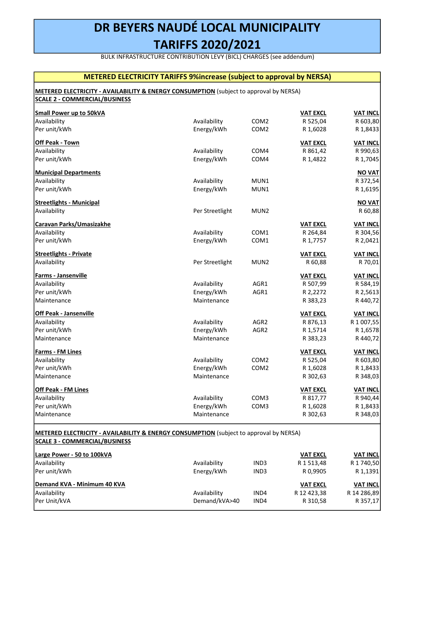BULK INFRASTRUCTURE CONTRIBUTION LEVY (BICL) CHARGES (see addendum)

## METERED ELECTRICITY TARIFFS 9%increase (subject to approval by NERSA)

## METERED ELECTRICITY - AVAILABILITY & ENERGY CONSUMPTION (subject to approval by NERSA) SCALE 2 - COMMERCIAL/BUSINESS

|                 |                                                          | <b>VAT EXCL</b> | <b>VAT INCL</b>                                                                                                                                                                                              |
|-----------------|----------------------------------------------------------|-----------------|--------------------------------------------------------------------------------------------------------------------------------------------------------------------------------------------------------------|
| Availability    | COM <sub>2</sub>                                         |                 | R 603,80                                                                                                                                                                                                     |
|                 | COM <sub>2</sub>                                         |                 | R 1,8433                                                                                                                                                                                                     |
|                 |                                                          | <b>VAT EXCL</b> | <b>VAT INCL</b>                                                                                                                                                                                              |
| Availability    | COM4                                                     | R 861,42        | R 990,63                                                                                                                                                                                                     |
| Energy/kWh      | COM4                                                     | R 1,4822        | R 1,7045                                                                                                                                                                                                     |
|                 |                                                          |                 | <b>NO VAT</b>                                                                                                                                                                                                |
| Availability    | MUN1                                                     |                 | R 372,54                                                                                                                                                                                                     |
| Energy/kWh      | MUN1                                                     |                 | R 1,6195                                                                                                                                                                                                     |
|                 |                                                          |                 | <b>NO VAT</b>                                                                                                                                                                                                |
| Per Streetlight | MUN <sub>2</sub>                                         |                 | R 60,88                                                                                                                                                                                                      |
|                 |                                                          | <b>VAT EXCL</b> | <b>VAT INCL</b>                                                                                                                                                                                              |
|                 | COM1                                                     | R 264,84        | R 304,56                                                                                                                                                                                                     |
| Energy/kWh      | COM1                                                     | R 1,7757        | R 2,0421                                                                                                                                                                                                     |
|                 |                                                          |                 | <b>VAT INCL</b>                                                                                                                                                                                              |
| Per Streetlight | MUN2                                                     | R 60,88         | R 70,01                                                                                                                                                                                                      |
|                 |                                                          | <b>VAT EXCL</b> | <b>VAT INCL</b>                                                                                                                                                                                              |
| Availability    | AGR1                                                     | R 507,99        | R 584,19                                                                                                                                                                                                     |
|                 | AGR1                                                     |                 | R 2,5613                                                                                                                                                                                                     |
| Maintenance     |                                                          | R 383,23        | R 440,72                                                                                                                                                                                                     |
|                 |                                                          | <b>VAT EXCL</b> | <b>VAT INCL</b>                                                                                                                                                                                              |
| Availability    | AGR <sub>2</sub>                                         | R 876,13        | R 1 007,55                                                                                                                                                                                                   |
| Energy/kWh      | AGR <sub>2</sub>                                         | R 1,5714        | R 1,6578                                                                                                                                                                                                     |
| Maintenance     |                                                          | R 383,23        | R 440,72                                                                                                                                                                                                     |
|                 |                                                          | <b>VAT EXCL</b> | <b>VAT INCL</b>                                                                                                                                                                                              |
| Availability    | COM <sub>2</sub>                                         | R 525,04        | R 603,80                                                                                                                                                                                                     |
| Energy/kWh      | COM <sub>2</sub>                                         | R 1,6028        | R 1,8433                                                                                                                                                                                                     |
| Maintenance     |                                                          | R 302,63        | R 348,03                                                                                                                                                                                                     |
|                 |                                                          | <b>VAT EXCL</b> | <b>VAT INCL</b>                                                                                                                                                                                              |
| Availability    | COM <sub>3</sub>                                         | R 817,77        | R 940,44                                                                                                                                                                                                     |
| Energy/kWh      | COM3                                                     | R 1,6028        | R 1,8433                                                                                                                                                                                                     |
| Maintenance     |                                                          | R 302,63        | R 348,03                                                                                                                                                                                                     |
|                 |                                                          |                 |                                                                                                                                                                                                              |
|                 |                                                          |                 |                                                                                                                                                                                                              |
|                 |                                                          |                 | <b>VAT INCL</b>                                                                                                                                                                                              |
|                 |                                                          |                 | R 1 740,50                                                                                                                                                                                                   |
| Energy/kWh      | IND3                                                     | R 0,9905        | R 1,1391                                                                                                                                                                                                     |
|                 |                                                          |                 | <b>VAT INCL</b>                                                                                                                                                                                              |
| Availability    | IND4                                                     | R 12 423,38     | R 14 286,89                                                                                                                                                                                                  |
|                 | Energy/kWh<br>Availability<br>Energy/kWh<br>Availability | IND3            | R 525,04<br>R 1,6028<br><b>VAT EXCL</b><br>R 2,2272<br><b>METERED ELECTRICITY - AVAILABILITY &amp; ENERGY CONSUMPTION</b> (subject to approval by NERSA)<br><b>VAT EXCL</b><br>R 1 513,48<br><b>VAT EXCL</b> |

Per Unit/kVA Demand/kVA>40 IND4 R 310,58 R 357,17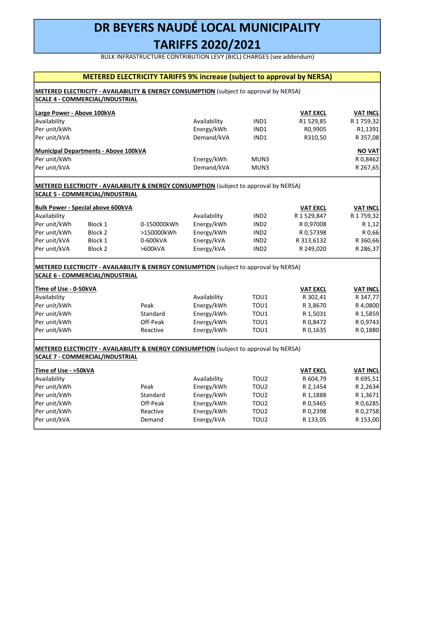BULK INFRASTRUCTURE CONTRIBUTION LEVY (BICL) CHARGES (see addendum)

 $\mathbf{I}$ 

|                            | <b>SCALE 4 - COMMERCIAL/INDUSTRIAL</b>      | METERED ELECTRICITY - AVAILABILITY & ENERGY CONSUMPTION (subject to approval by NERSA)            |                            |                  |                                |                              |
|----------------------------|---------------------------------------------|---------------------------------------------------------------------------------------------------|----------------------------|------------------|--------------------------------|------------------------------|
|                            |                                             |                                                                                                   |                            |                  |                                |                              |
| Large Power - Above 100kVA |                                             |                                                                                                   |                            |                  | <b>VAT EXCL</b>                | <b>VAT INCL</b>              |
| Availability               |                                             |                                                                                                   | Availability               | IND1             | R1 529,85                      | R 1759,32                    |
| Per unit/kWh               |                                             |                                                                                                   | Energy/kWh                 | IND1             | R0,9905                        | R1,1391                      |
| Per unit/kVA               |                                             |                                                                                                   | Demand/kVA                 | IND1             | R310,50                        | R 357,08                     |
|                            | <b>Municipal Departments - Above 100kVA</b> |                                                                                                   |                            |                  |                                | <b>NOVAT</b>                 |
| Per unit/kWh               |                                             |                                                                                                   | Energy/kWh                 | MUN3             |                                | R 0,8462                     |
| Per unit/kVA               |                                             |                                                                                                   | Demand/kVA                 | MUN3             |                                | R 267,65                     |
|                            |                                             | <b>METERED ELECTRICITY - AVAILABILITY &amp; ENERGY CONSUMPTION</b> (subject to approval by NERSA) |                            |                  |                                |                              |
|                            | <b>SCALE 5 - COMMERCIAL/INDUSTRIAL</b>      |                                                                                                   |                            |                  |                                |                              |
|                            |                                             |                                                                                                   |                            |                  |                                |                              |
| Availability               | <b>Bulk Power - Special above 600kVA</b>    |                                                                                                   |                            | IND <sub>2</sub> | <b>VAT EXCL</b><br>R 1 529,847 | <b>VAT INCL</b><br>R 1759,32 |
| Per unit/kWh               | Block 1                                     | 0-150000kWh                                                                                       | Availability<br>Energy/kWh | IND <sub>2</sub> | R 0,97008                      | R 1,12                       |
| Per unit/kWh               | Block <sub>2</sub>                          | >150000kWh                                                                                        | Energy/kWh                 | IND <sub>2</sub> | R 0,57398                      | R 0,66                       |
| Per unit/kVA               | Block 1                                     | 0-600kVA                                                                                          | Energy/kVA                 | IND <sub>2</sub> | R 313,6132                     | R 360,66                     |
| Per unit/kVA               | Block <sub>2</sub>                          | >600kVA                                                                                           | Energy/kVA                 | IND <sub>2</sub> | R 249,020                      | R 286,37                     |
|                            |                                             |                                                                                                   |                            |                  |                                |                              |
|                            |                                             | <b>METERED ELECTRICITY - AVAILABILITY &amp; ENERGY CONSUMPTION</b> (subject to approval by NERSA) |                            |                  |                                |                              |
|                            | <b>SCALE 6 - COMMERCIAL/INDUSTRIAL</b>      |                                                                                                   |                            |                  |                                |                              |
| Time of Use - 0-50kVA      |                                             |                                                                                                   |                            |                  | <b>VAT EXCL</b>                | <b>VAT INCL</b>              |
| Availability               |                                             |                                                                                                   | Availability               | TOU1             | R 302,41                       | R 347,77                     |
| Per unit/kWh               |                                             | Peak                                                                                              | Energy/kWh                 | TOU1             | R 3,8670                       | R 4,0800                     |
| Per unit/kWh               |                                             | Standard                                                                                          | Energy/kWh                 | TOU1             | R 1,5031                       | R 1,5859                     |
| Per unit/kWh               |                                             | Off-Peak                                                                                          | Energy/kWh                 | TOU1             | R 0,8472                       | R 0,9743                     |
| Per unit/kWh               |                                             | Reactive                                                                                          | Energy/kWh                 | TOU1             | R 0,1635                       | R 0,1880                     |
|                            |                                             | METERED ELECTRICITY - AVAILABILITY & ENERGY CONSUMPTION (subject to approval by NERSA)            |                            |                  |                                |                              |
|                            | <b>SCALE 7 - COMMERCIAL/INDUSTRIAL</b>      |                                                                                                   |                            |                  |                                |                              |
| Time of Use - >50kVA       |                                             |                                                                                                   |                            |                  | <b>VAT EXCL</b>                | <b>VAT INCL</b>              |
| <b>Availability</b>        |                                             |                                                                                                   | <b>Availability</b>        | $T$ $O112$       | R 604 79                       | R 695 51                     |

| THME OF USE - >50KVA |          |              |                  | VAI EXCL | <b>VAI INCL</b> |
|----------------------|----------|--------------|------------------|----------|-----------------|
| Availability         |          | Availability | TOU <sub>2</sub> | R 604,79 | R 695,51        |
| Per unit/kWh         | Peak     | Energy/kWh   | TOU <sub>2</sub> | R 2.1454 | R 2,2634        |
| Per unit/kWh         | Standard | Energy/kWh   | TOU <sub>2</sub> | R 1.1888 | R 1,3671        |
| Per unit/kWh         | Off-Peak | Energy/kWh   | TOU <sub>2</sub> | R 0,5465 | R 0,6285        |
| Per unit/kWh         | Reactive | Energy/kWh   | TOU <sub>2</sub> | R 0,2398 | R 0,2758        |
| Per unit/kVA         | Demand   | Energy/kVA   | TOU <sub>2</sub> | R 133,05 | R 153,00        |
|                      |          |              |                  |          |                 |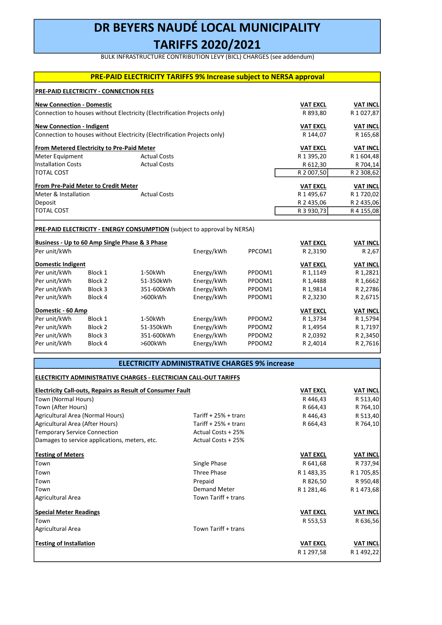BULK INFRASTRUCTURE CONTRIBUTION LEVY (BICL) CHARGES (see addendum)

|                                  |                                                   | <b>PRE-PAID ELECTRICITY TARIFFS 9% Increase subject to NERSA approval</b> |                 |                    |                 |                 |
|----------------------------------|---------------------------------------------------|---------------------------------------------------------------------------|-----------------|--------------------|-----------------|-----------------|
|                                  | PRE-PAID ELECTRICITY - CONNECTION FEES            |                                                                           |                 |                    |                 |                 |
| <b>New Connection - Domestic</b> |                                                   |                                                                           |                 |                    | <b>VAT EXCL</b> | <b>VAT INCL</b> |
|                                  |                                                   | Connection to houses without Electricity (Electrification Projects only)  |                 |                    | R 893.80        | R 1027,87       |
| <b>New Connection - Indigent</b> |                                                   |                                                                           | <b>VAT EXCL</b> | <b>VAT INCL</b>    |                 |                 |
|                                  |                                                   | Connection to houses without Electricity (Electrification Projects only)  |                 |                    | R 144,07        | R 165,68        |
|                                  | <b>From Metered Electricity to Pre-Paid Meter</b> |                                                                           |                 |                    | <b>VAT EXCL</b> | <b>VAT INCL</b> |
| Meter Equipment                  |                                                   | <b>Actual Costs</b>                                                       |                 |                    | R 1 395,20      | R 1 604,48      |
| <b>Installation Costs</b>        |                                                   | <b>Actual Costs</b>                                                       |                 |                    | R 612,30        | R 704,14        |
| <b>TOTAL COST</b>                |                                                   |                                                                           |                 |                    | R 2 007,50      | R 2 308,62      |
|                                  | From Pre-Paid Meter to Credit Meter               |                                                                           |                 |                    | <b>VAT EXCL</b> | <b>VAT INCL</b> |
| Meter & Installation             |                                                   | <b>Actual Costs</b>                                                       |                 |                    | R 1 495,67      | R 1720,02       |
| Deposit                          |                                                   |                                                                           |                 |                    | R 2 435,06      | R 2 435,06      |
| <b>TOTAL COST</b>                |                                                   |                                                                           |                 |                    | R 3 930,73      | R 4 155,08      |
|                                  |                                                   |                                                                           |                 |                    |                 |                 |
|                                  |                                                   | PRE-PAID ELECTRICITY - ENERGY CONSUMPTION (subject to approval by NERSA)  |                 |                    |                 |                 |
|                                  |                                                   | Business - Up to 60 Amp Single Phase & 3 Phase                            |                 |                    | <b>VAT EXCL</b> | <b>VAT INCL</b> |
| Per unit/kWh                     |                                                   |                                                                           | Energy/kWh      | PPCOM1             | R 2,3190        | R 2,67          |
| <b>Domestic Indigent</b>         |                                                   |                                                                           |                 |                    | <b>VAT EXCL</b> | <b>VAT INCL</b> |
| Per unit/kWh                     | Block 1                                           | 1-50kWh                                                                   | Energy/kWh      | PPDOM1             | R 1,1149        | R 1,2821        |
| Per unit/kWh                     | Block 2                                           | 51-350kWh                                                                 | Energy/kWh      | PPDOM1             | R 1,4488        | R 1,6662        |
| Per unit/kWh                     | Block 3                                           | 351-600kWh                                                                | Energy/kWh      | PPDOM1             | R 1,9814        | R 2,2786        |
| Per unit/kWh                     | Block 4                                           | >600kWh                                                                   | Energy/kWh      | PPDOM1             | R 2,3230        | R 2,6715        |
|                                  | Domestic - 60 Amp                                 |                                                                           |                 |                    |                 | <b>VAT INCL</b> |
| Per unit/kWh                     | Block 1                                           | 1-50kWh                                                                   | Energy/kWh      | PPDOM <sub>2</sub> | R 1,3734        | R 1,5794        |
| Per unit/kWh                     | Block 2                                           | 51-350kWh                                                                 | Energy/kWh      | PPDOM2             | R 1,4954        | R 1,7197        |
| Per unit/kWh                     | Block 3                                           | 351-600kWh                                                                | Energy/kWh      | PPDOM2             | R 2,0392        | R 2,3450        |
| Per unit/kWh                     | Block 4                                           | >600kWh                                                                   | Energy/kWh      | PPDOM2             | R 2,4014        | R 2,7616        |
|                                  |                                                   |                                                                           |                 |                    |                 |                 |

| <b>ELECTRICITY ADMINISTRATIVE CHARGES 9% increase</b> |  |
|-------------------------------------------------------|--|
|-------------------------------------------------------|--|

## ELECTRICITY ADMINISTRATIVE CHARGES - ELECTRICIAN CALL-OUT TARIFFS

| <b>Electricity Call-outs, Repairs as Result of Consumer Fault</b> | <b>VAT EXCL</b>       | <b>VAT INCL</b> |                 |
|-------------------------------------------------------------------|-----------------------|-----------------|-----------------|
| Town (Normal Hours)                                               |                       | R446,43         | R 513,40        |
| Town (After Hours)                                                |                       | R 664,43        | R 764,10        |
| Agricultural Area (Normal Hours)                                  | Tariff $+25% + trans$ | R446,43         | R 513,40        |
| Agricultural Area (After Hours)                                   | Tariff $+25% + trans$ | R 664,43        | R 764,10        |
| Temporary Service Connection                                      | Actual Costs + 25%    |                 |                 |
| Damages to service applications, meters, etc.                     | Actual Costs + 25%    |                 |                 |
| <b>Testing of Meters</b>                                          |                       | <b>VAT EXCL</b> | <b>VAT INCL</b> |
| Town                                                              | Single Phase          | R 641,68        | R 737,94        |
| Town                                                              | <b>Three Phase</b>    | R 1 483,35      | R 1 705,85      |
| Town                                                              | Prepaid               | R 826,50        | R 950,48        |
| Town                                                              | <b>Demand Meter</b>   | R 1 281,46      | R 1473,68       |
| Agricultural Area                                                 | Town Tariff + trans   |                 |                 |
| <b>Special Meter Readings</b>                                     |                       | <b>VAT EXCL</b> | <b>VAT INCL</b> |
| Town                                                              |                       | R 553,53        | R 636,56        |
| Agricultural Area                                                 | Town Tariff + trans   |                 |                 |
| <b>Testing of Installation</b>                                    |                       | <b>VAT EXCL</b> | VAT INCL        |
|                                                                   |                       | R 1 297,58      | R 1492,22       |
|                                                                   |                       |                 |                 |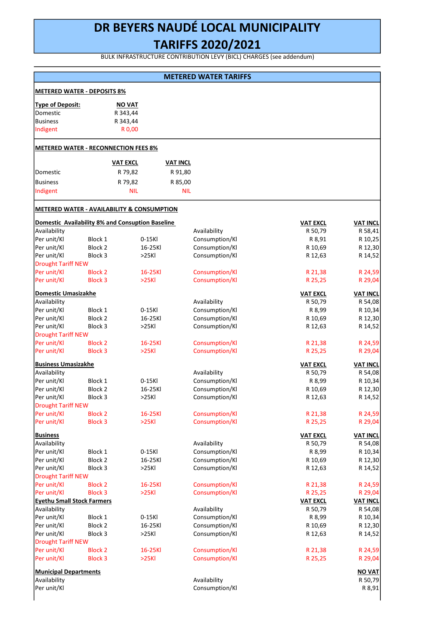# DR BEYERS NAUDÉ LOCAL MUNICIPALITY

## TARIFFS 2020/2021

BULK INFRASTRUCTURE CONTRIBUTION LEVY (BICL) CHARGES (see addendum)

|                                                       |                |                 |                 | <b>IVIEIENED WAIER IARIFFS</b> |                 |                 |
|-------------------------------------------------------|----------------|-----------------|-----------------|--------------------------------|-----------------|-----------------|
| <b>METERED WATER - DEPOSITS 8%</b>                    |                |                 |                 |                                |                 |                 |
| <b>Type of Deposit:</b>                               |                | <b>NO VAT</b>   |                 |                                |                 |                 |
| Domestic                                              |                | R 343,44        |                 |                                |                 |                 |
| <b>Business</b>                                       |                | R 343,44        |                 |                                |                 |                 |
| Indigent                                              |                | R 0,00          |                 |                                |                 |                 |
| <b>METERED WATER - RECONNECTION FEES 8%</b>           |                |                 |                 |                                |                 |                 |
|                                                       |                | <b>VAT EXCL</b> | <b>VAT INCL</b> |                                |                 |                 |
| Domestic                                              |                | R 79,82         | R 91,80         |                                |                 |                 |
| <b>Business</b>                                       |                | R 79,82         | R 85,00         |                                |                 |                 |
| Indigent                                              |                | <b>NIL</b>      | <b>NIL</b>      |                                |                 |                 |
|                                                       |                |                 |                 |                                |                 |                 |
| <b>METERED WATER - AVAILABILITY &amp; CONSUMPTION</b> |                |                 |                 |                                |                 |                 |
| Domestic Availability 8% and Consuption Baseline      |                |                 |                 |                                | <b>VAT EXCL</b> | <b>VAT INCL</b> |
| Availability                                          |                |                 |                 | Availability                   | R 50,79         | R 58,41         |
| Per unit/Kl                                           | Block 1        | 0-15Kl          |                 | Consumption/Kl                 | R 8,91          | R 10,25         |
| Per unit/Kl                                           | Block 2        | 16-25Kl         |                 | Consumption/Kl                 | R 10,69         | R 12,30         |
| Per unit/Kl                                           | Block 3        | >25Kl           |                 | Consumption/Kl                 | R 12,63         | R 14,52         |
| <b>Drought Tariff NEW</b>                             |                |                 |                 |                                |                 |                 |
| Per unit/Kl                                           | <b>Block 2</b> | 16-25Kl         |                 | Consumption/Kl                 | R 21,38         | R 24,59         |
| Per unit/Kl                                           | <b>Block 3</b> | >25Kl           |                 | Consumption/Kl                 | R 25,25         | R 29,04         |
| <b>Domestic Umasizakhe</b>                            |                |                 |                 |                                | <b>VAT EXCL</b> | <b>VAT INCL</b> |
| Availability                                          |                |                 |                 | Availability                   | R 50,79         | R 54,08         |
| Per unit/Kl                                           | Block 1        | 0-15KI          |                 | Consumption/Kl                 | R 8,99          | R 10,34         |
| Per unit/Kl                                           | Block 2        | 16-25Kl         |                 | Consumption/Kl                 | R 10,69         | R 12,30         |
| Per unit/Kl                                           | Block 3        | >25Kl           |                 | Consumption/Kl                 | R 12,63         | R 14,52         |
| <b>Drought Tariff NEW</b>                             |                |                 |                 |                                |                 |                 |
| Per unit/Kl                                           | <b>Block 2</b> | 16-25Kl         |                 | Consumption/Kl                 | R 21,38         | R 24,59         |
| Per unit/Kl                                           | <b>Block 3</b> | >25Kl           |                 | Consumption/Kl                 | R 25,25         | R 29,04         |
| <b>Business Umasizakhe</b>                            |                |                 |                 |                                | <b>VAT EXCL</b> | <b>VAT INCL</b> |
| Availability                                          |                |                 |                 | Availability                   | R 50,79         | R 54,08         |
| Per unit/Kl                                           | Block 1        | 0-15Kl          |                 | Consumption/Kl                 | R 8,99          | R 10,34         |
| Per unit/Kl                                           | Block 2        | 16-25Kl         |                 | Consumption/Kl                 | R 10,69         | R 12,30         |
| Per unit/Kl                                           | Block 3        | >25Kl           |                 | Consumption/Kl                 | R 12,63         | R 14,52         |
| <b>Drought Tariff NEW</b>                             |                |                 |                 |                                |                 |                 |
| Per unit/Kl                                           | <b>Block 2</b> | 16-25Kl         |                 | Consumption/Kl                 | R 21,38         | R 24,59         |
| Per unit/Kl                                           | <b>Block 3</b> | >25Kl           |                 | Consumption/Kl                 | R 25,25         | R 29,04         |
| <b>Business</b>                                       |                |                 |                 |                                | <b>VAT EXCL</b> | <b>VAT INCL</b> |
| Availability                                          |                |                 |                 | Availability                   | R 50,79         | R 54,08         |
| Per unit/Kl                                           | Block 1        | 0-15Kl          |                 | Consumption/Kl                 | R 8,99          | R 10,34         |
| Per unit/Kl                                           | Block 2        | 16-25Kl         |                 | Consumption/Kl                 | R 10,69         | R 12,30         |
| Per unit/Kl                                           | Block 3        | >25Kl           |                 | Consumption/Kl                 | R 12,63         | R 14,52         |
| <b>Drought Tariff NEW</b>                             |                |                 |                 |                                |                 |                 |
| Per unit/Kl                                           | <b>Block 2</b> | 16-25Kl         |                 | Consumption/Kl                 | R 21,38         | R 24,59         |
| Per unit/Kl                                           | <b>Block 3</b> | >25Kl           |                 | Consumption/Kl                 | R 25,25         | R 29,04         |
| <b>Eyethu Small Stock Farmers</b>                     |                |                 |                 |                                | <b>VAT EXCL</b> | <b>VAT INCL</b> |
| Availability                                          |                |                 |                 | Availability                   | R 50,79         | R 54,08         |
| Per unit/Kl                                           | Block 1        | 0-15KI          |                 | Consumption/Kl                 | R 8,99          | R 10,34         |
| Per unit/Kl                                           | Block 2        | 16-25Kl         |                 | Consumption/Kl                 | R 10,69         | R 12,30         |
| Per unit/Kl                                           | Block 3        | >25Kl           |                 | Consumption/Kl                 | R 12,63         | R 14,52         |
| <b>Drought Tariff NEW</b>                             |                |                 |                 |                                |                 |                 |
| Per unit/Kl                                           | <b>Block 2</b> | 16-25Kl         |                 | Consumption/Kl                 | R 21,38         | R 24,59         |
| Per unit/Kl                                           | <b>Block 3</b> | >25Kl           |                 | Consumption/Kl                 | R 25,25         | R 29,04         |
| <b>Municipal Departments</b>                          |                |                 |                 |                                |                 | <b>NO VAT</b>   |
| Availability                                          |                |                 |                 | Availability                   |                 | R 50,79         |
| Per unit/Kl                                           |                |                 |                 | Consumption/Kl                 |                 | R 8,91          |
|                                                       |                |                 |                 |                                |                 |                 |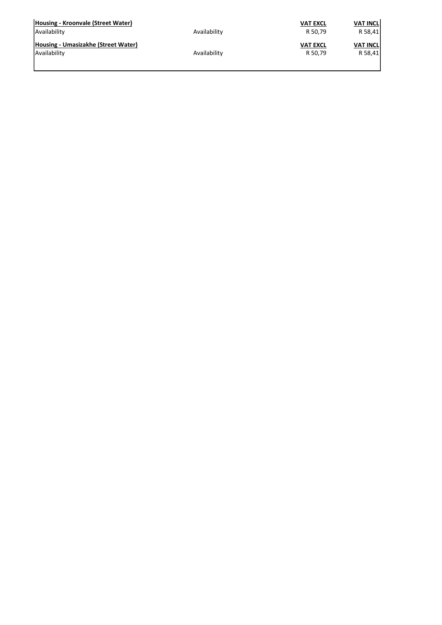| Housing - Kroonvale (Street Water)  | Availability | <b>VAT EXCL</b> | <b>VAT INCL</b> |
|-------------------------------------|--------------|-----------------|-----------------|
| Availability                        |              | R 50,79         | R 58,41         |
| Housing - Umasizakhe (Street Water) | Availability | <b>VAT EXCL</b> | <b>VAT INCL</b> |
| Availability                        |              | R 50,79         | R 58,41         |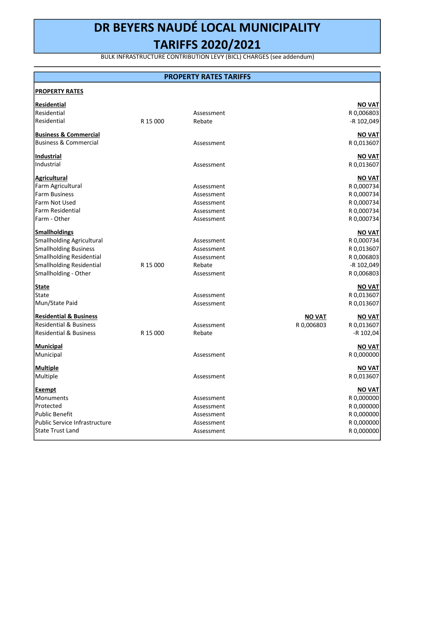BULK INFRASTRUCTURE CONTRIBUTION LEVY (BICL) CHARGES (see addendum)

## PROPERTY RATES TARIFFS

| <b>PROPERTY RATES</b>             |          |            |               |               |
|-----------------------------------|----------|------------|---------------|---------------|
| Residential                       |          |            |               | <b>NO VAT</b> |
| Residential                       |          | Assessment |               | R 0,006803    |
| Residential                       | R 15 000 | Rebate     |               | -R 102,049    |
| <b>Business &amp; Commercial</b>  |          |            |               | <b>NO VAT</b> |
| <b>Business &amp; Commercial</b>  |          | Assessment |               | R 0,013607    |
| Industrial                        |          |            |               | <b>NOVAT</b>  |
| Industrial                        |          | Assessment |               | R 0,013607    |
| <b>Agricultural</b>               |          |            |               | <b>NO VAT</b> |
| Farm Agricultural                 |          | Assessment |               | R 0,000734    |
| <b>Farm Business</b>              |          | Assessment |               | R 0,000734    |
| Farm Not Used                     |          | Assessment |               | R 0,000734    |
| <b>Farm Residential</b>           |          | Assessment |               | R 0,000734    |
| Farm - Other                      |          | Assessment |               | R 0,000734    |
| <b>Smallholdings</b>              |          |            |               | NO VAT        |
| <b>Smallholding Agricultural</b>  |          | Assessment |               | R 0,000734    |
| <b>Smallholding Business</b>      |          | Assessment |               | R 0,013607    |
| Smallholding Residential          |          | Assessment |               | R 0,006803    |
| Smallholding Residential          | R 15 000 | Rebate     |               | -R 102,049    |
| Smallholding - Other              |          | Assessment |               | R 0,006803    |
| State                             |          |            |               | <b>NO VAT</b> |
| State                             |          | Assessment |               | R 0,013607    |
| Mun/State Paid                    |          | Assessment |               | R 0,013607    |
| <b>Residential &amp; Business</b> |          |            | <b>NO VAT</b> | <b>NOVAT</b>  |
| <b>Residential &amp; Business</b> |          | Assessment | R 0,006803    | R 0,013607    |
| <b>Residential &amp; Business</b> | R 15 000 | Rebate     |               | -R 102,04     |
| Municipal                         |          |            |               | <b>NO VAT</b> |
| Municipal                         |          | Assessment |               | R 0,000000    |
| Multiple                          |          |            |               | <b>NO VAT</b> |
| Multiple                          |          | Assessment |               | R 0,013607    |
| Exempt                            |          |            |               | <b>NO VAT</b> |
| Monuments                         |          | Assessment |               | R 0,000000    |
| Protected                         |          | Assessment |               | R 0,000000    |
| <b>Public Benefit</b>             |          | Assessment |               | R 0,000000    |
| Public Service Infrastructure     |          | Assessment |               | R 0,000000    |
| <b>State Trust Land</b>           |          | Assessment |               | R 0,000000    |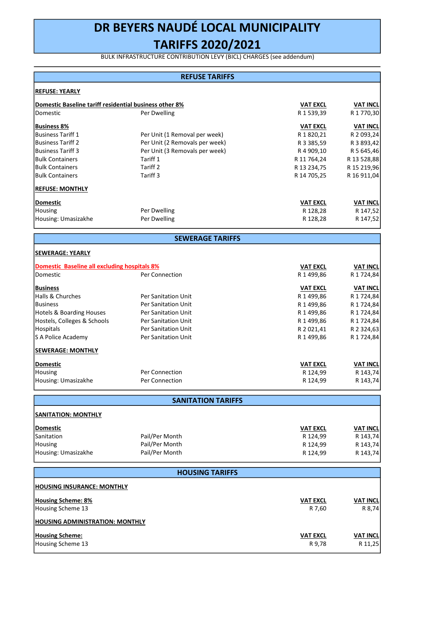BULK INFRASTRUCTURE CONTRIBUTION LEVY (BICL) CHARGES (see addendum)

## REFUSE TARIFFS

| <b>REFUSE: YEARLY</b>                                         |                                |                 |                 |
|---------------------------------------------------------------|--------------------------------|-----------------|-----------------|
| <b>Domestic Baseline tariff residential business other 8%</b> |                                | <b>VAT EXCL</b> | <b>VAT INCL</b> |
| <b>IDomestic</b>                                              | Per Dwelling                   | R 1 539,39      | R 1 770,30      |
| <b>Business 8%</b>                                            |                                | <b>VAT EXCL</b> | <b>VAT INCL</b> |
| <b>Business Tariff 1</b>                                      | Per Unit (1 Removal per week)  | R 1 820,21      | R 2 093,24      |
| <b>Business Tariff 2</b>                                      | Per Unit (2 Removals per week) | R 3 3 8 5 , 5 9 | R 3 893,42      |
| <b>Business Tariff 3</b>                                      | Per Unit (3 Removals per week) | R 4 909,10      | R 5 645,46      |
| <b>Bulk Containers</b>                                        | Tariff 1                       | R 11 764,24     | R 13 528,88     |
| <b>Bulk Containers</b>                                        | Tariff 2                       | R 13 234,75     | R 15 219,96     |
| <b>Bulk Containers</b>                                        | Tariff 3                       | R 14 705,25     | R 16 911,04     |
| <b>REFUSE: MONTHLY</b>                                        |                                |                 |                 |
| Domestic                                                      |                                | <b>VAT EXCL</b> | <b>VAT INCL</b> |
| Housing                                                       | Per Dwelling                   | R 128,28        | R 147,52        |
| Housing: Umasizakhe                                           | Per Dwelling                   | R 128,28        | R 147,52        |

SEWERAGE TARIFFS

| <b>ISEWERAGE: YEARLY</b>                     |                            |                 |                 |
|----------------------------------------------|----------------------------|-----------------|-----------------|
| Domestic Baseline all excluding hospitals 8% |                            | <b>VAT EXCL</b> | <b>VAT INCL</b> |
| <b>Domestic</b>                              | Per Connection             | R 1 499,86      | R 1 7 2 4 , 8 4 |
| <b>Business</b>                              |                            | <b>VAT EXCL</b> | <b>VAT INCL</b> |
| Halls & Churches                             | <b>Per Sanitation Unit</b> | R 1499,86       | R 1 724,84      |
| <b>Business</b>                              | <b>Per Sanitation Unit</b> | R 1499,86       | R 1 7 2 4 , 8 4 |
| Hotels & Boarding Houses                     | <b>Per Sanitation Unit</b> | R 1499,86       | R 1 7 2 4 , 8 4 |
| Hostels, Colleges & Schools                  | <b>Per Sanitation Unit</b> | R 1499,86       | R 1 724,84      |
| <b>Hospitals</b>                             | <b>Per Sanitation Unit</b> | R 2 021,41      | R 2 3 2 4, 6 3  |
| S A Police Academy                           | <b>Per Sanitation Unit</b> | R 1 499,86      | R 1 7 24, 84    |
| <b>SEWERAGE: MONTHLY</b>                     |                            |                 |                 |
| Domestic                                     |                            | <b>VAT EXCL</b> | <b>VAT INCL</b> |
| <b>Housing</b>                               | Per Connection             | R 124,99        | R 143,74        |
| Housing: Umasizakhe                          | Per Connection             | R 124,99        | R 143,74        |

| <b>SANITATION TARIFFS</b>         |                        |                 |                 |
|-----------------------------------|------------------------|-----------------|-----------------|
| <b>SANITATION: MONTHLY</b>        |                        |                 |                 |
| <b>Domestic</b>                   |                        | <b>VAT EXCL</b> | <b>VAT INCL</b> |
| Sanitation                        | Pail/Per Month         | R 124,99        | R 143,74        |
| Housing                           | Pail/Per Month         | R 124,99        | R 143,74        |
| Housing: Umasizakhe               | Pail/Per Month         | R 124,99        | R 143,74        |
|                                   | <b>HOUSING TARIFFS</b> |                 |                 |
| <b>HOUSING INSURANCE: MONTHLY</b> |                        |                 |                 |
| <b>Housing Scheme: 8%</b>         |                        | <b>VAT EXCL</b> | <b>VAT INCL</b> |
| Housing Scheme 13                 |                        | R 7,60          | R 8,74          |
|                                   |                        |                 |                 |

| <b>HOUSING ADMINISTRATION: MONTHLY</b> |                 |                 |
|----------------------------------------|-----------------|-----------------|
| <b>Housing Scheme:</b>                 | <b>VAT EXCL</b> | <b>VAT INCL</b> |
| Housing Scheme 13                      | R 9.78          | R 11.25         |